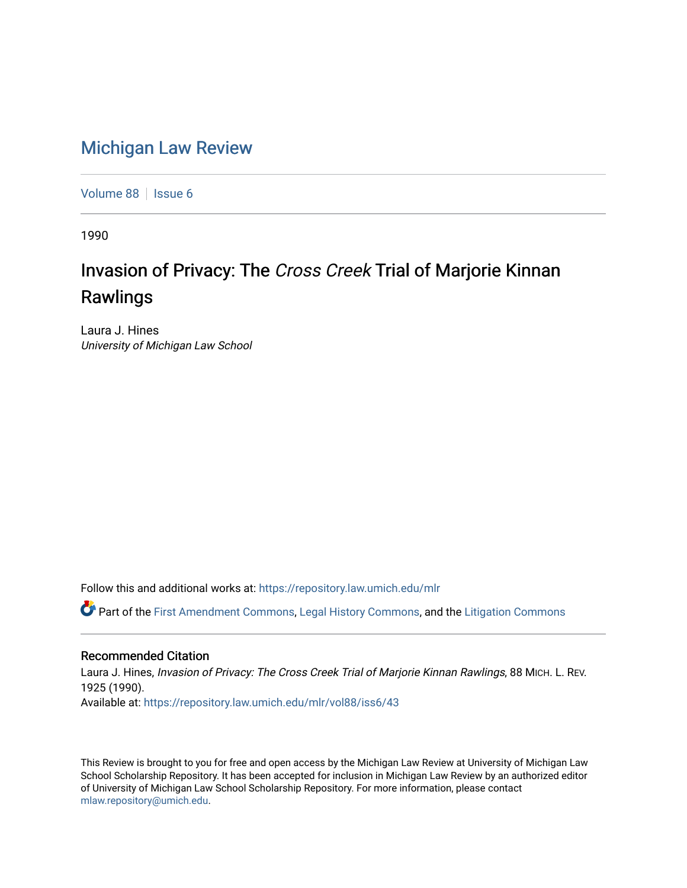## [Michigan Law Review](https://repository.law.umich.edu/mlr)

[Volume 88](https://repository.law.umich.edu/mlr/vol88) | [Issue 6](https://repository.law.umich.edu/mlr/vol88/iss6)

1990

## Invasion of Privacy: The Cross Creek Trial of Marjorie Kinnan **Rawlings**

Laura J. Hines University of Michigan Law School

Follow this and additional works at: [https://repository.law.umich.edu/mlr](https://repository.law.umich.edu/mlr?utm_source=repository.law.umich.edu%2Fmlr%2Fvol88%2Fiss6%2F43&utm_medium=PDF&utm_campaign=PDFCoverPages) 

Part of the [First Amendment Commons,](http://network.bepress.com/hgg/discipline/1115?utm_source=repository.law.umich.edu%2Fmlr%2Fvol88%2Fiss6%2F43&utm_medium=PDF&utm_campaign=PDFCoverPages) [Legal History Commons](http://network.bepress.com/hgg/discipline/904?utm_source=repository.law.umich.edu%2Fmlr%2Fvol88%2Fiss6%2F43&utm_medium=PDF&utm_campaign=PDFCoverPages), and the [Litigation Commons](http://network.bepress.com/hgg/discipline/910?utm_source=repository.law.umich.edu%2Fmlr%2Fvol88%2Fiss6%2F43&utm_medium=PDF&utm_campaign=PDFCoverPages)

## Recommended Citation

Laura J. Hines, Invasion of Privacy: The Cross Creek Trial of Marjorie Kinnan Rawlings, 88 MICH. L. REV. 1925 (1990). Available at: [https://repository.law.umich.edu/mlr/vol88/iss6/43](https://repository.law.umich.edu/mlr/vol88/iss6/43?utm_source=repository.law.umich.edu%2Fmlr%2Fvol88%2Fiss6%2F43&utm_medium=PDF&utm_campaign=PDFCoverPages) 

This Review is brought to you for free and open access by the Michigan Law Review at University of Michigan Law School Scholarship Repository. It has been accepted for inclusion in Michigan Law Review by an authorized editor of University of Michigan Law School Scholarship Repository. For more information, please contact [mlaw.repository@umich.edu.](mailto:mlaw.repository@umich.edu)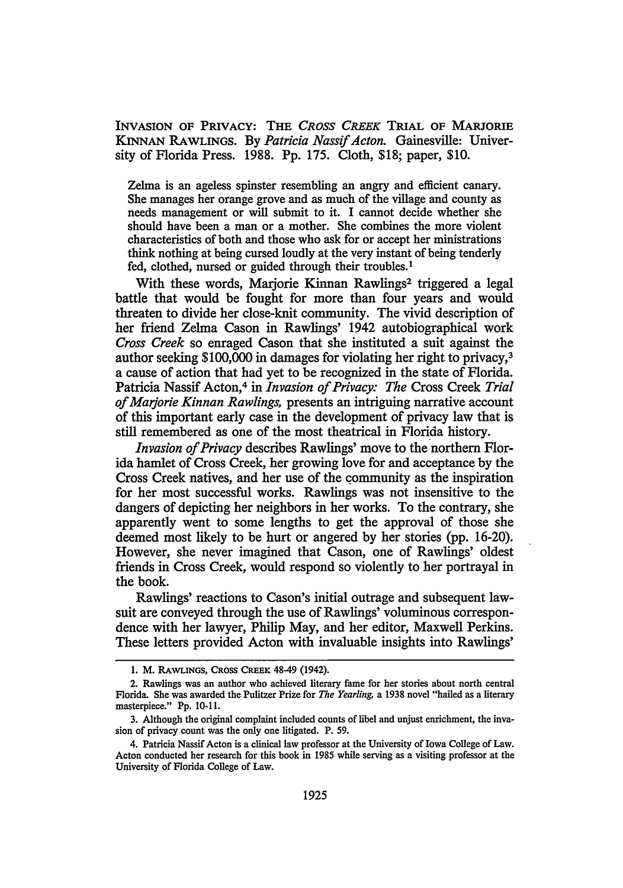INVASION OF PRIVACY: THE *CROSS CREEK* TRIAL OF MARJORIE KINNAN RAWLINGS. By *Patricia Nassif Acton.* Gainesville: University of Florida Press. 1988. Pp. 175. Cloth, \$18; paper, \$10.

Zelma is an ageless spinster resembling an angry and efficient canary. She manages her orange grove and as much of the village and county as needs management or will submit to it. I cannot decide whether she should have been a man or a mother. She combines the more violent characteristics of both and those who ask for or accept her ministrations think nothing at being cursed loudly at the very instant of being tenderly fed, clothed, nursed or guided through their troubles. 1

With these words, Marjorie Kinnan Rawlings<sup>2</sup> triggered a legal battle that would be fought for more than four years and would threaten to divide her close-knit community. The vivid description of her friend Zelma Cason in Rawlings' 1942 autobiographical work *Cross Creek* so enraged Cason that she instituted a suit against the author seeking \$100,000 in damages for violating her right to privacy,3 a cause of action that had yet to be recognized in the state of Florida. Patricia Nassif Acton,<sup>4</sup> in *Invasion of Privacy: The Cross Creek Trial of Marjorie Kinnan Rawlings,* presents an intriguing narrative account of this important early case in the development of privacy law that is still remembered as one of the most theatrical in Florida history.

*Invasion of Privacy* describes Rawlings' move to the northern Florida hamlet of Cross Creek, her growing love for and acceptance by the Cross Creek natives, and her use of the community as the inspiration for her most successful works. Rawlings was not insensitive to the dangers of depicting her neighbors in her works. To the contrary, she apparently went to some lengths to get the approval of those she deemed most likely to be hurt or angered by her stories (pp. 16-20). However, she never imagined that Cason, one of Rawlings' oldest friends in Cross Creek, would respond so violently to her portrayal in the book.

Rawlings' reactions to Cason's initial outrage and subsequent lawsuit are conveyed through the use of Rawlings' voluminous correspondence with her lawyer, Philip May, and her editor, Maxwell Perkins. These letters provided Acton with invaluable insights into Rawlings'

<sup>1.</sup> M. RAWLINGS, CROSS CREEK 48-49 (1942).

<sup>2.</sup> Rawlings was an author who achieved literary fame for her stories about north central Florida. She was awarded the Pulitzer Prize for *The Yearling,* a 1938 novel "hailed as a literary masterpiece." Pp. 10-11.

<sup>3.</sup> Although the original complaint included counts of libel and unjust enrichment, the invasion of privacy count was the only one litigated. P. 59.

<sup>4.</sup> Patricia Nassif Acton is a clinical law professor at the University of Iowa College of Law. Acton conducted her research for this book in 1985 while serving as a visiting professor at the University of Florida College of Law.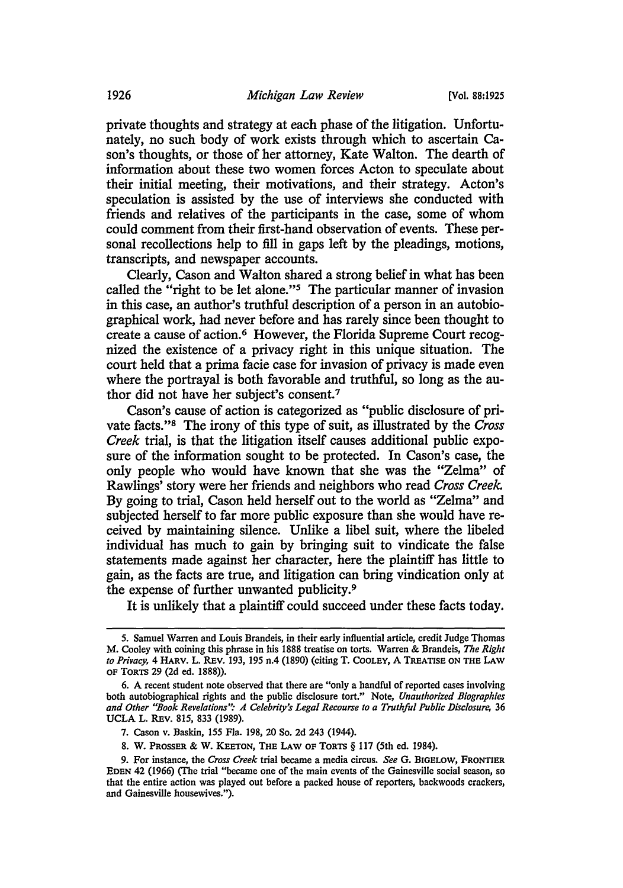private thoughts and strategy at each phase of the litigation. Unfortunately, no such body of work exists through which to ascertain Cason's thoughts, or those of her attorney, Kate Walton. The dearth of information about these two women forces Acton to speculate about their initial meeting, their motivations, and their strategy. Acton's speculation is assisted by the use of interviews she conducted with friends and relatives of the participants in the case, some of whom could comment from their first-hand observation of events. These personal recollections help to fill in gaps left by the pleadings, motions, transcripts, and newspaper accounts.

Clearly, Cason and Walton shared a strong belief in what has been called the "right to be let alone."5 The particular manner of invasion in this case, an author's truthful description of a person in an autobiographical work, had never before and has rarely since been thought to create a cause of action.<sup>6</sup> However, the Florida Supreme Court recognized the existence of a privacy right in this unique situation. The court held that a prima facie case for invasion of privacy is made even where the portrayal is both favorable and truthful, so long as the author did not have her subject's consent.<sup>7</sup>

Cason's cause of action is categorized as "public disclosure of private facts."<sup>8</sup> The irony of this type of suit, as illustrated by the *Cross Creek* trial, is that the litigation itself causes additional public exposure of the information sought to be protected. In Cason's case, the only people who would have known that she was the "Zelma" of Rawlings' story were her friends and neighbors who read *Cross Creek.*  By going to trial, Cason held herself out to the world as "Zelma" and subjected herself to far more public exposure than she would have received by maintaining silence. Unlike a libel suit, where the libeled individual has much to gain by bringing suit to vindicate the false statements made against her character, here the plaintiff has little to gain, as the facts are true, and litigation can bring vindication only at the expense of further unwanted publicity.9

It is unlikely that a plaintiff could succeed under these facts today.

<sup>5.</sup> Samuel Warren and Louis Brandeis, in their early influential article, credit Judge Thomas M. Cooley with coining this phrase in his 1888 treatise on torts. Warren & Brandeis, *The Right to Privacy,* 4 HARV. L. REv. 193, 195 n.4 (1890) (citing T. COOLEY, A TREATISE ON THE LAW OF TORTS 29 (2d ed. 1888)).

<sup>6.</sup> A recent student note observed that there are "only a handful of reported cases involving both autobiographical rights and the public disclosure tort." Note, *Unauthorized Biographies and Other "Book Revelations": A Celebrity's Legal Recourse to a Trothful Public Disclosure,* 36 UCLA L. REv. 815, 833 (1989).

<sup>7.</sup> Cason v. Baskin, 155 Fla. 198, 20 So. 2d 243 (1944).

<sup>8.</sup> W. PROSSER & W. KEETON, THE LAW OF TORTS§ 117 (5th ed. 1984).

<sup>9.</sup> For instance, the *Cross Creek* trial became a media circus. *See* G. BIGELOW, FRONTIER EDEN 42 (1966) (The trial "became one of the main events of the Gainesville social season, so that the entire action was played out before a packed house of reporters, backwoods crackers, and Gainesville housewives.").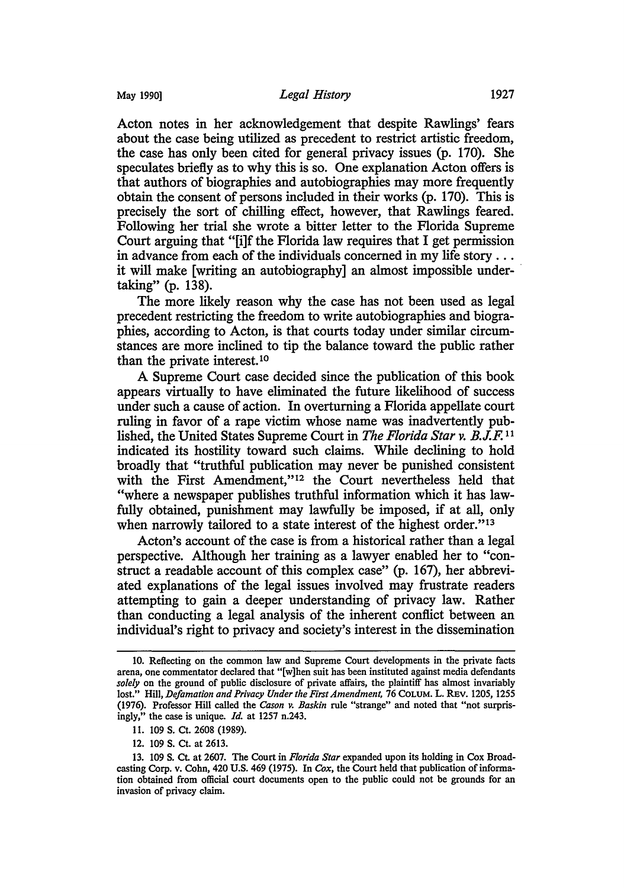Acton notes in her acknowledgement that despite Rawlings' fears about the case being utilized as precedent to restrict artistic freedom, the case has only been cited for general privacy issues (p. 170). She speculates briefly as to why this is so. One explanation Acton offers is that authors of biographies and autobiographies may more frequently obtain the consent of persons included in their works (p. 170). This is precisely the sort of chilling effect, however, that Rawlings feared. Following her trial she wrote a bitter letter to the Florida Supreme Court arguing that "[i]f the Florida law requires that I get permission in advance from each of the individuals concerned in my life story ... it will make [writing an autobiography] an almost impossible under- · taking" (p. 138).

The more likely reason why the case has not been used as legal precedent restricting the freedom to write autobiographies and biographies, according to Acton, is that courts today under similar circumstances are more inclined to tip the balance toward the public rather than the private interest. <sup>10</sup>

A Supreme Court case decided since the publication of this book appears virtually to have eliminated the future likelihood of success under such a cause of action. In overturning a Florida appellate court ruling in favor of a rape victim whose name was inadvertently published, the United States Supreme Court in *The Florida Star v. B.J.F.* <sup>11</sup> indicated its hostility toward such claims. While declining to hold broadly that "truthful publication may never be punished consistent with the First Amendment,"<sup>12</sup> the Court nevertheless held that "where a newspaper publishes truthful information which it has lawfully obtained, punishment may lawfully be imposed, if at all, only when narrowly tailored to a state interest of the highest order."<sup>13</sup>

Acton's account of the case is from a historical rather than a legal perspective. Although her training as a lawyer enabled her to "construct a readable account of this complex case" (p. 167), her abbreviated explanations of the legal issues involved may frustrate readers attempting to gain a deeper understanding of privacy law. Rather than conducting a legal analysis of the inherent conflict between an individual's right to privacy and society's interest in the dissemination

<sup>10.</sup> Reflecting on the common law and Supreme Court developments in the private facts arena, one commentator declared that "[w]hen suit has been instituted against media defendants *solely* on the ground of public disclosure of private affairs, the plaintiff has almost invariably lost." Hill, *Defamation and Privacy Under the First Amendment, 16* CoLUM. L. REv. 1205, 1255 (1976). Professor Hill called the *Cason v. Baskin* rule "strange" and noted that "not surprisingly,'' the case is unique. *Id.* at 1257 n.243.

<sup>11. 109</sup> s. Ct. 2608 (1989).

<sup>12. 109</sup> S. Ct. at 2613.

<sup>13. 109</sup> S. Ct. at 2607. The Court in *Florida Star* expanded upon its holding in Cox Broadcasting Corp. v. Cohn, 420 U.S. 469 (1975). In *Cox,* the Court held that publication of information obtained from official court documents open to the public could not be grounds for an invasion of privacy claim.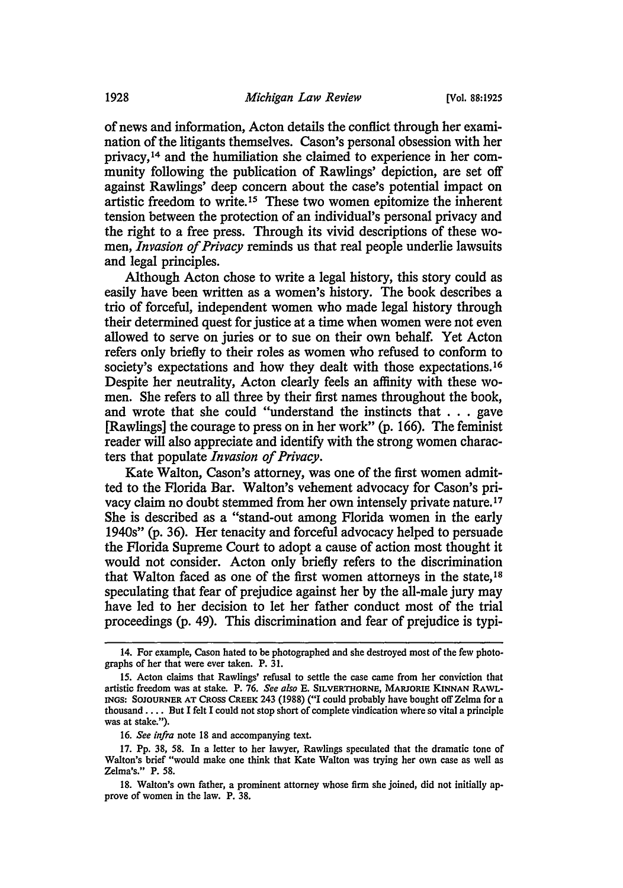of news and information, Acton details the conflict through her examination of the litigants themselves. Cason's personal obsession with her privacy, 14 and the humiliation she claimed to experience in her community following the publication of Rawlings' depiction, are set off against Rawlings' deep concern about the case's potential impact on artistic freedom to write.<sup>15</sup> These two women epitomize the inherent tension between the protection of an individual's personal privacy and the right to a free press. Through its vivid descriptions of these women, *Invasion of Privacy* reminds us that real people underlie lawsuits and legal principles.

Although Acton chose to write a legal history, this story could as easily have been written as a women's history. The book describes a trio of forceful, independent women who made legal history through their determined quest for justice at a time when women were not even allowed to serve on juries or to sue on their own behalf. Yet Acton refers only briefly to their roles as women who refused to conform to society's expectations and how they dealt with those expectations. <sup>16</sup> Despite her neutrality, Acton clearly feels an affinity with these women. She refers to all three by their first names throughout the book, and wrote that she could "understand the instincts that . . . gave [Rawlings] the courage to press on in her work" (p. 166). The feminist reader will also appreciate and identify with the strong women characters that populate *Invasion of Privacy.* 

Kate Walton, Cason's attorney, was one of the first women admitted to the Florida Bar. Walton's vehement advocacy for Cason's privacy claim no doubt stemmed from her own intensely private nature.17 She is described as a "stand-out among Florida women in the early 1940s" (p. 36). Her tenacity and forceful advocacy helped to persuade the Florida Supreme Court to adopt a cause of action most thought it would not consider. Acton only briefly refers to the discrimination that Walton faced as one of the first women attorneys in the state, <sup>18</sup> speculating that fear of prejudice against her by the all-male jury may have led to her decision to let her father conduct most of the trial proceedings (p. 49). This discrimination and fear of prejudice is typi-

<sup>14.</sup> For example, Cason hated to be photographed and she destroyed most of the few photographs of her that were ever taken. P. 31.

<sup>15.</sup> Acton claims that Rawlings' refusal to settle the case came from her conviction that artistic freedom was at stake. P. 76. *See also* E. SILVERTHORNE, MARJORIE KINNAN RAWL-INGS: SOJOURNER AT CROSS CREEK 243 (1988) ("I could probably have bought off Zelma for a thousand .... But I felt I could not stop short of complete vindication where so vital a principle was at stake.").

<sup>16.</sup> *See infra* note 18 and accompanying text.

<sup>17.</sup> Pp. 38, 58. In a letter to her lawyer, Rawlings speculated that the dramatic tone of Walton's brief "would make one think that Kate Walton was trying her own case as well as Zelma's." P. 58.

<sup>18.</sup> Walton's own father, a prominent attorney whose firm she joined, did not initially approve of women in the law. P. 38.